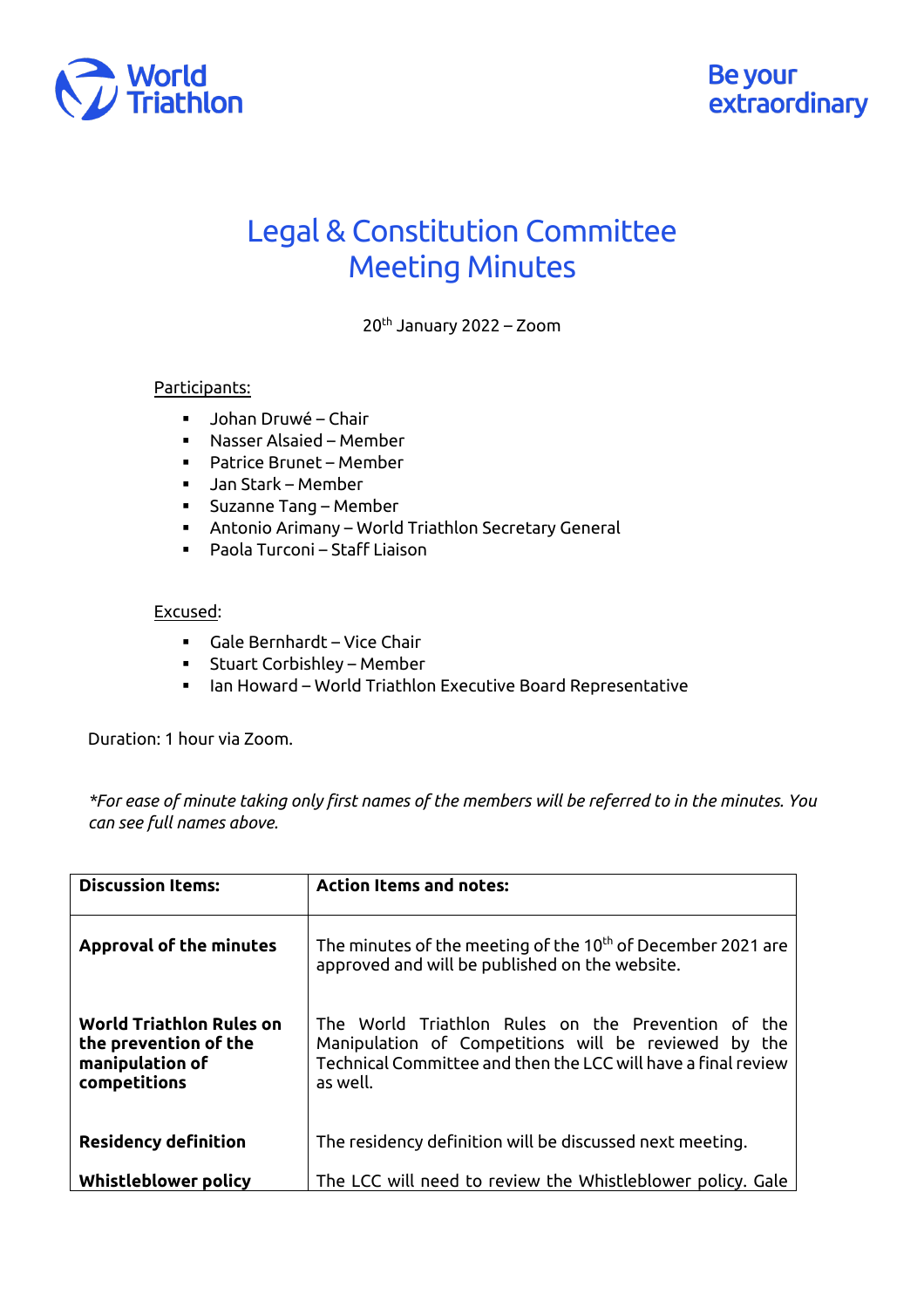

## Legal & Constitution Committee Meeting Minutes

20th January 2022 – Zoom

## Participants:

- § Johan Druwé Chair
- Nasser Alsaied Member
- Patrice Brunet Member
- § Jan Stark Member
- § Suzanne Tang Member
- § Antonio Arimany World Triathlon Secretary General
- Paola Turconi Staff Liaison

## Excused:

- § Gale Bernhardt Vice Chair
- Stuart Corbishley Member
- § Ian Howard World Triathlon Executive Board Representative

Duration: 1 hour via Zoom.

*\*For ease of minute taking only first names of the members will be referred to in the minutes. You can see full names above.*

| <b>Discussion Items:</b>                                                                    | <b>Action Items and notes:</b>                                                                                                                                                          |
|---------------------------------------------------------------------------------------------|-----------------------------------------------------------------------------------------------------------------------------------------------------------------------------------------|
| <b>Approval of the minutes</b>                                                              | The minutes of the meeting of the 10 <sup>th</sup> of December 2021 are<br>approved and will be published on the website.                                                               |
| <b>World Triathlon Rules on</b><br>the prevention of the<br>manipulation of<br>competitions | The World Triathlon Rules on the Prevention of the<br>Manipulation of Competitions will be reviewed by the<br>Technical Committee and then the LCC will have a final review<br>as well. |
| <b>Residency definition</b>                                                                 | The residency definition will be discussed next meeting.                                                                                                                                |
| Whistleblower policy                                                                        | The LCC will need to review the Whistleblower policy. Gale                                                                                                                              |